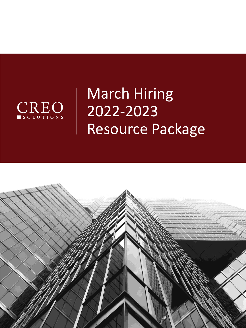

# March Hiring 2022-2023 Resource Package

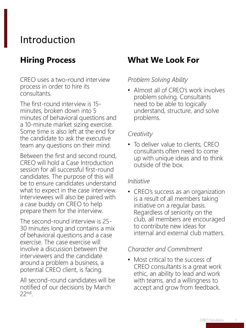# Introduction

# **Hiring Process**

CREO uses a two-round interview process in order to hire its consultants.

The first-round interview is 15 minutes, broken down into 5 minutes of behavioral questions and a 10-minute market sizing exercise. Some time is also left at the end for the candidate to ask the executive team any questions on their mind.

Between the first and second round, CREO will hold a Case Introduction session for all successful first-round candidates. The purpose of this will be to ensure candidates understand what to expect in the case interview. Interviewees will also be paired with a case buddy on CREO to help prepare them for the interview.

The second-round interview is 25- 30 minutes long and contains a mix of behavioral questions and a case exercise. The case exercise will involve a discussion between the interviewers and the candidate around a problem a business, a potential CREO client, is facing.

All second-round candidates will be notified of our decisions by March 22nd .

### **What We Look For**

#### *Problem Solving Ability*

• Almost all of CREO's work involves problem solving. Consultants need to be able to logically understand, structure, and solve problems.

#### *Creativity*

• To deliver value to clients, CREO consultants often need to come up with unique ideas and to think outside of the box.

#### *Initiative*

• CREO's success as an organization is a result of all members taking initiative on a regular basis. Regardless of seniority on the club, all members are encouraged to contribute new ideas for internal and external club matters.

#### *Character and Commitment*

• Most critical to the success of CREO consultants is a great work ethic, an ability to lead and work with teams, and a willingness to accept and grow from feedback.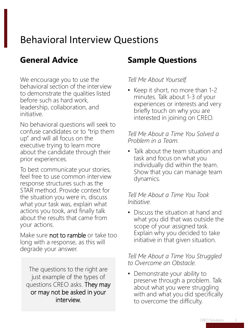# Behavioral Interview Questions

### **General Advice**

We encourage you to use the behavioral section of the interview to demonstrate the qualities listed before such as hard work, leadership, collaboration, and initiative.

No behavioral questions will seek to confuse candidates or to "trip them up" and will all focus on the executive trying to learn more about the candidate through their prior experiences.

To best communicate your stories, feel free to use common interview response structures such as the STAR method. Provide context for the situation you were in, discuss what your task was, explain what actions you took, and finally talk about the results that came from your actions.

Make sure not to ramble or take too long with a response, as this will degrade your answer.

The questions to the right are just example of the types of questions CREO asks. They may or may not be asked in your interview.

# **Sample Questions**

*Tell Me About Yourself.*

• Keep it short, no more than 1-2 minutes. Talk about 1-3 of your experiences or interests and very briefly touch on why you are interested in joining on CREO.

#### *Tell Me About a Time You Solved a Problem in a Team.*

• Talk about the team situation and task and focus on what you individually did within the team. Show that you can manage team dynamics.

#### *Tell Me About a Time You Took Initiative.*

• Discuss the situation at hand and what you did that was outside the scope of your assigned task. Explain why you decided to take initiative in that given situation.

#### *Tell Me About a Time You Struggled to Overcome an Obstacle.*

• Demonstrate your ability to preserve through a problem. Talk about what you were struggling with and what you did specifically to overcome the difficulty.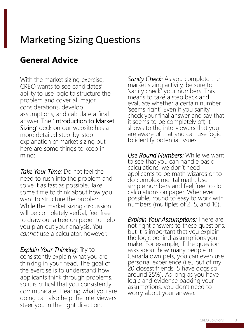# Marketing Sizing Questions

# **General Advice**

With the market sizing exercise, CREO wants to see candidates' ability to use logic to structure the problem and cover all major considerations, develop assumptions, and calculate a final answer. The 'Introduction to Market Sizing' deck on our website has a more detailed step-by-step explanation of market sizing but here are some things to keep in mind:

*Take Your Time:* Do not feel the need to rush into the problem and solve it as fast as possible. Take some time to think about how you want to structure the problem. While the market sizing discussion will be completely verbal, feel free to draw out a tree on paper to help you plan out your analysis. You *cannot* use a calculator, however.

*Explain Your Thinking:* Try to consistently explain what you are thinking in your head. The goal of the exercise is to understand how applicants think through problems, so it is critical that you consistently communicate. Hearing what you are doing can also help the interviewers steer you in the right direction.

*Sanity Check:* As you complete the market sizing activity, be sure to 'sanity check' your numbers. This means to take a step back and evaluate whether a certain number 'seems right'. Even if you sanity check your final answer and say that it seems to be completely off, it shows to the interviewers that you are aware of that and can use logic to identify potential issues.

*Use Round Numbers:* While we want to see that you can handle basic calculations, we don't need applicants to be math wizards or to do complex mental math. Use simple numbers and feel free to do calculations on paper. Whenever possible, round to easy to work with numbers (multiples of 2, 5, and 10).

*Explain Your Assumptions:* There are not right answers to these questions, but it is important that you explain the logic behind assumptions you make. For example, if the question asks about how many people in Canada own pets, you can even use personal experience (i.e., out of my 20 closest friends, 5 have dogs so around 25%). As long as you have logic and evidence backing your assumptions, you don't need to worry about your answer.